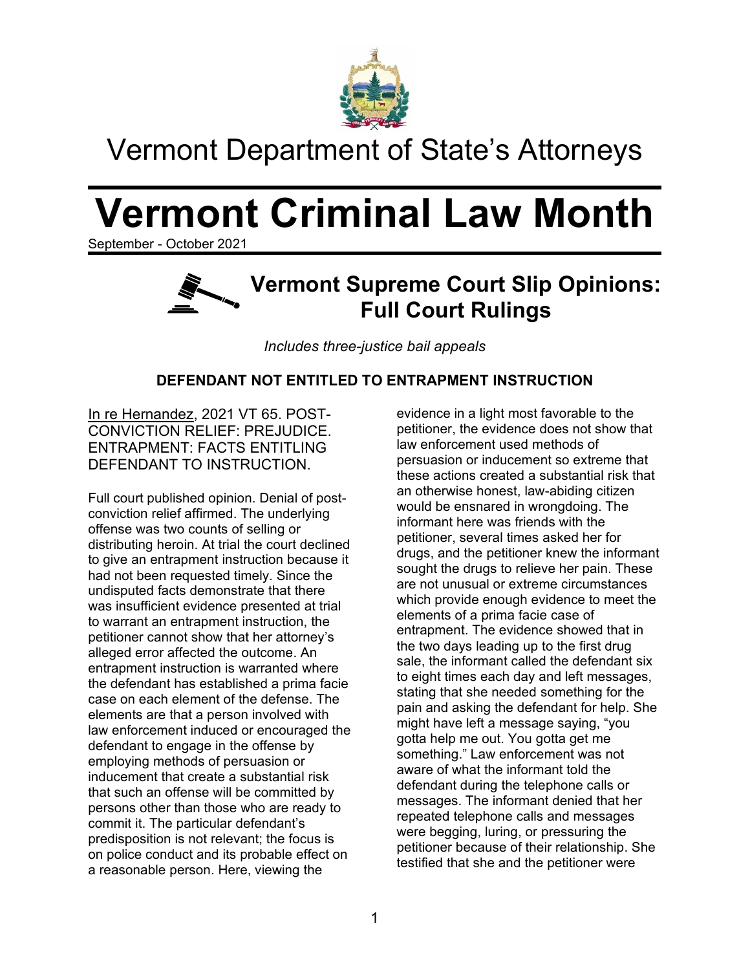

## Vermont Department of State's Attorneys

# **Vermont Criminal Law Month**

September - October 2021

### **Vermont Supreme Court Slip Opinions: Full Court Rulings**

*Includes three-justice bail appeals*

### **DEFENDANT NOT ENTITLED TO ENTRAPMENT INSTRUCTION**

In re Hernandez, 2021 VT 65. POST-CONVICTION RELIEF: PREJUDICE. ENTRAPMENT: FACTS ENTITLING DEFENDANT TO INSTRUCTION.

Full court published opinion. Denial of postconviction relief affirmed. The underlying offense was two counts of selling or distributing heroin. At trial the court declined to give an entrapment instruction because it had not been requested timely. Since the undisputed facts demonstrate that there was insufficient evidence presented at trial to warrant an entrapment instruction, the petitioner cannot show that her attorney's alleged error affected the outcome. An entrapment instruction is warranted where the defendant has established a prima facie case on each element of the defense. The elements are that a person involved with law enforcement induced or encouraged the defendant to engage in the offense by employing methods of persuasion or inducement that create a substantial risk that such an offense will be committed by persons other than those who are ready to commit it. The particular defendant's predisposition is not relevant; the focus is on police conduct and its probable effect on a reasonable person. Here, viewing the

evidence in a light most favorable to the petitioner, the evidence does not show that law enforcement used methods of persuasion or inducement so extreme that these actions created a substantial risk that an otherwise honest, law-abiding citizen would be ensnared in wrongdoing. The informant here was friends with the petitioner, several times asked her for drugs, and the petitioner knew the informant sought the drugs to relieve her pain. These are not unusual or extreme circumstances which provide enough evidence to meet the elements of a prima facie case of entrapment. The evidence showed that in the two days leading up to the first drug sale, the informant called the defendant six to eight times each day and left messages, stating that she needed something for the pain and asking the defendant for help. She might have left a message saying, "you gotta help me out. You gotta get me something." Law enforcement was not aware of what the informant told the defendant during the telephone calls or messages. The informant denied that her repeated telephone calls and messages were begging, luring, or pressuring the petitioner because of their relationship. She testified that she and the petitioner were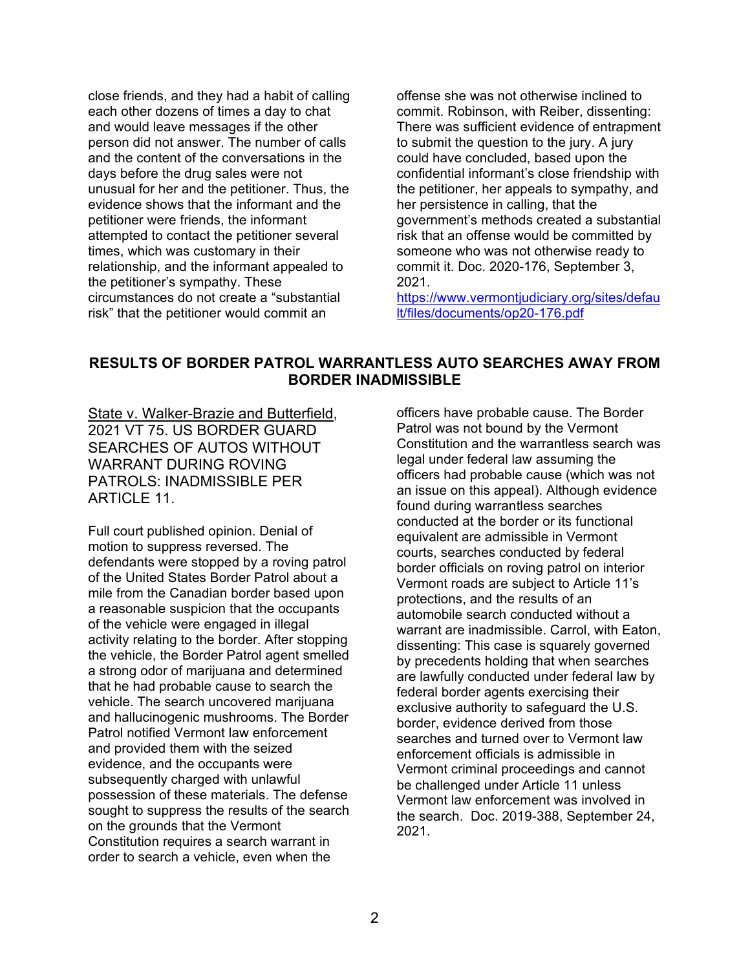close friends, and they had a habit of calling each other dozens of times a day to chat and would leave messages if the other person did not answer. The number of calls and the content of the conversations in the days before the drug sales were not unusual for her and the petitioner. Thus, the evidence shows that the informant and the petitioner were friends, the informant attempted to contact the petitioner several times, which was customary in their relationship, and the informant appealed to the petitioner's sympathy. These circumstances do not create a "substantial risk" that the petitioner would commit an

offense she was not otherwise inclined to commit. Robinson, with Reiber, dissenting: There was sufficient evidence of entrapment to submit the question to the jury. A jury could have concluded, based upon the confidential informant's close friendship with the petitioner, her appeals to sympathy, and her persistence in calling, that the government's methods created a substantial risk that an offense would be committed by someone who was not otherwise ready to commit it. Doc. 2020-176, September 3, 2021.

[https://www.vermontjudiciary.org/sites/defau](https://www.vermontjudiciary.org/sites/default/files/documents/op20-176.pdf) [lt/files/documents/op20-176.pdf](https://www.vermontjudiciary.org/sites/default/files/documents/op20-176.pdf)

#### **RESULTS OF BORDER PATROL WARRANTLESS AUTO SEARCHES AWAY FROM BORDER INADMISSIBLE**

State v. Walker-Brazie and Butterfield, 2021 VT 75. US BORDER GUARD SEARCHES OF AUTOS WITHOUT WARRANT DURING ROVING PATROLS: INADMISSIBLE PER ARTICLE 11.

Full court published opinion. Denial of motion to suppress reversed. The defendants were stopped by a roving patrol of the United States Border Patrol about a mile from the Canadian border based upon a reasonable suspicion that the occupants of the vehicle were engaged in illegal activity relating to the border. After stopping the vehicle, the Border Patrol agent smelled a strong odor of marijuana and determined that he had probable cause to search the vehicle. The search uncovered marijuana and hallucinogenic mushrooms. The Border Patrol notified Vermont law enforcement and provided them with the seized evidence, and the occupants were subsequently charged with unlawful possession of these materials. The defense sought to suppress the results of the search on the grounds that the Vermont Constitution requires a search warrant in order to search a vehicle, even when the

officers have probable cause. The Border Patrol was not bound by the Vermont Constitution and the warrantless search was legal under federal law assuming the officers had probable cause (which was not an issue on this appeal). Although evidence found during warrantless searches conducted at the border or its functional equivalent are admissible in Vermont courts, searches conducted by federal border officials on roving patrol on interior Vermont roads are subject to Article 11's protections, and the results of an automobile search conducted without a warrant are inadmissible. Carrol, with Eaton, dissenting: This case is squarely governed by precedents holding that when searches are lawfully conducted under federal law by federal border agents exercising their exclusive authority to safeguard the U.S. border, evidence derived from those searches and turned over to Vermont law enforcement officials is admissible in Vermont criminal proceedings and cannot be challenged under Article 11 unless Vermont law enforcement was involved in the search. Doc. 2019-388, September 24, 2021.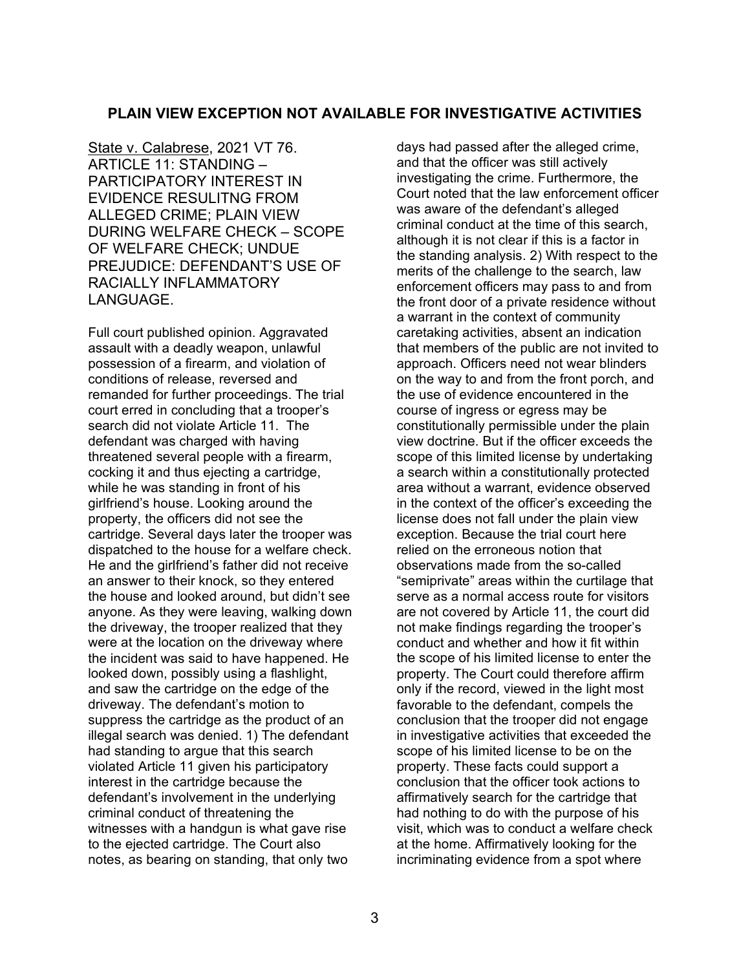### **PLAIN VIEW EXCEPTION NOT AVAILABLE FOR INVESTIGATIVE ACTIVITIES**

State v. Calabrese, 2021 VT 76. ARTICLE 11: STANDING – PARTICIPATORY INTEREST IN EVIDENCE RESULITNG FROM ALLEGED CRIME; PLAIN VIEW DURING WELFARE CHECK – SCOPE OF WELFARE CHECK; UNDUE PREJUDICE: DEFENDANT'S USE OF RACIALLY INFLAMMATORY LANGUAGE.

Full court published opinion. Aggravated assault with a deadly weapon, unlawful possession of a firearm, and violation of conditions of release, reversed and remanded for further proceedings. The trial court erred in concluding that a trooper's search did not violate Article 11. The defendant was charged with having threatened several people with a firearm, cocking it and thus ejecting a cartridge, while he was standing in front of his girlfriend's house. Looking around the property, the officers did not see the cartridge. Several days later the trooper was dispatched to the house for a welfare check. He and the girlfriend's father did not receive an answer to their knock, so they entered the house and looked around, but didn't see anyone. As they were leaving, walking down the driveway, the trooper realized that they were at the location on the driveway where the incident was said to have happened. He looked down, possibly using a flashlight, and saw the cartridge on the edge of the driveway. The defendant's motion to suppress the cartridge as the product of an illegal search was denied. 1) The defendant had standing to argue that this search violated Article 11 given his participatory interest in the cartridge because the defendant's involvement in the underlying criminal conduct of threatening the witnesses with a handgun is what gave rise to the ejected cartridge. The Court also notes, as bearing on standing, that only two

days had passed after the alleged crime, and that the officer was still actively investigating the crime. Furthermore, the Court noted that the law enforcement officer was aware of the defendant's alleged criminal conduct at the time of this search, although it is not clear if this is a factor in the standing analysis. 2) With respect to the merits of the challenge to the search, law enforcement officers may pass to and from the front door of a private residence without a warrant in the context of community caretaking activities, absent an indication that members of the public are not invited to approach. Officers need not wear blinders on the way to and from the front porch, and the use of evidence encountered in the course of ingress or egress may be constitutionally permissible under the plain view doctrine. But if the officer exceeds the scope of this limited license by undertaking a search within a constitutionally protected area without a warrant, evidence observed in the context of the officer's exceeding the license does not fall under the plain view exception. Because the trial court here relied on the erroneous notion that observations made from the so-called "semiprivate" areas within the curtilage that serve as a normal access route for visitors are not covered by Article 11, the court did not make findings regarding the trooper's conduct and whether and how it fit within the scope of his limited license to enter the property. The Court could therefore affirm only if the record, viewed in the light most favorable to the defendant, compels the conclusion that the trooper did not engage in investigative activities that exceeded the scope of his limited license to be on the property. These facts could support a conclusion that the officer took actions to affirmatively search for the cartridge that had nothing to do with the purpose of his visit, which was to conduct a welfare check at the home. Affirmatively looking for the incriminating evidence from a spot where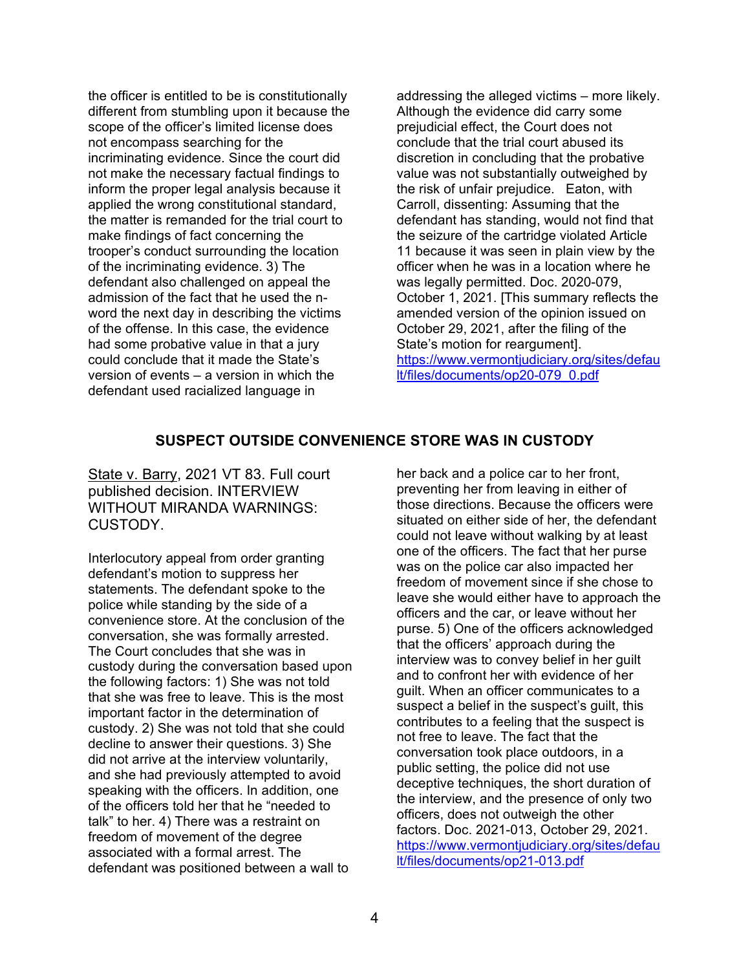the officer is entitled to be is constitutionally different from stumbling upon it because the scope of the officer's limited license does not encompass searching for the incriminating evidence. Since the court did not make the necessary factual findings to inform the proper legal analysis because it applied the wrong constitutional standard, the matter is remanded for the trial court to make findings of fact concerning the trooper's conduct surrounding the location of the incriminating evidence. 3) The defendant also challenged on appeal the admission of the fact that he used the nword the next day in describing the victims of the offense. In this case, the evidence had some probative value in that a jury could conclude that it made the State's version of events – a version in which the defendant used racialized language in

addressing the alleged victims – more likely. Although the evidence did carry some prejudicial effect, the Court does not conclude that the trial court abused its discretion in concluding that the probative value was not substantially outweighed by the risk of unfair prejudice. Eaton, with Carroll, dissenting: Assuming that the defendant has standing, would not find that the seizure of the cartridge violated Article 11 because it was seen in plain view by the officer when he was in a location where he was legally permitted. Doc. 2020-079, October 1, 2021. [This summary reflects the amended version of the opinion issued on October 29, 2021, after the filing of the State's motion for reargument]. [https://www.vermontjudiciary.org/sites/defau](https://www.vermontjudiciary.org/sites/default/files/documents/op20-079_0.pdf) [lt/files/documents/op20-079\\_0.pdf](https://www.vermontjudiciary.org/sites/default/files/documents/op20-079_0.pdf)

### **SUSPECT OUTSIDE CONVENIENCE STORE WAS IN CUSTODY**

State v. Barry, 2021 VT 83. Full court published decision. INTERVIEW WITHOUT MIRANDA WARNINGS: CUSTODY.

Interlocutory appeal from order granting defendant's motion to suppress her statements. The defendant spoke to the police while standing by the side of a convenience store. At the conclusion of the conversation, she was formally arrested. The Court concludes that she was in custody during the conversation based upon the following factors: 1) She was not told that she was free to leave. This is the most important factor in the determination of custody. 2) She was not told that she could decline to answer their questions. 3) She did not arrive at the interview voluntarily, and she had previously attempted to avoid speaking with the officers. In addition, one of the officers told her that he "needed to talk" to her. 4) There was a restraint on freedom of movement of the degree associated with a formal arrest. The defendant was positioned between a wall to

her back and a police car to her front, preventing her from leaving in either of those directions. Because the officers were situated on either side of her, the defendant could not leave without walking by at least one of the officers. The fact that her purse was on the police car also impacted her freedom of movement since if she chose to leave she would either have to approach the officers and the car, or leave without her purse. 5) One of the officers acknowledged that the officers' approach during the interview was to convey belief in her guilt and to confront her with evidence of her guilt. When an officer communicates to a suspect a belief in the suspect's guilt, this contributes to a feeling that the suspect is not free to leave. The fact that the conversation took place outdoors, in a public setting, the police did not use deceptive techniques, the short duration of the interview, and the presence of only two officers, does not outweigh the other factors. Doc. 2021-013, October 29, 2021. [https://www.vermontjudiciary.org/sites/defau](https://www.vermontjudiciary.org/sites/default/files/documents/op21-013.pdf) [lt/files/documents/op21-013.pdf](https://www.vermontjudiciary.org/sites/default/files/documents/op21-013.pdf)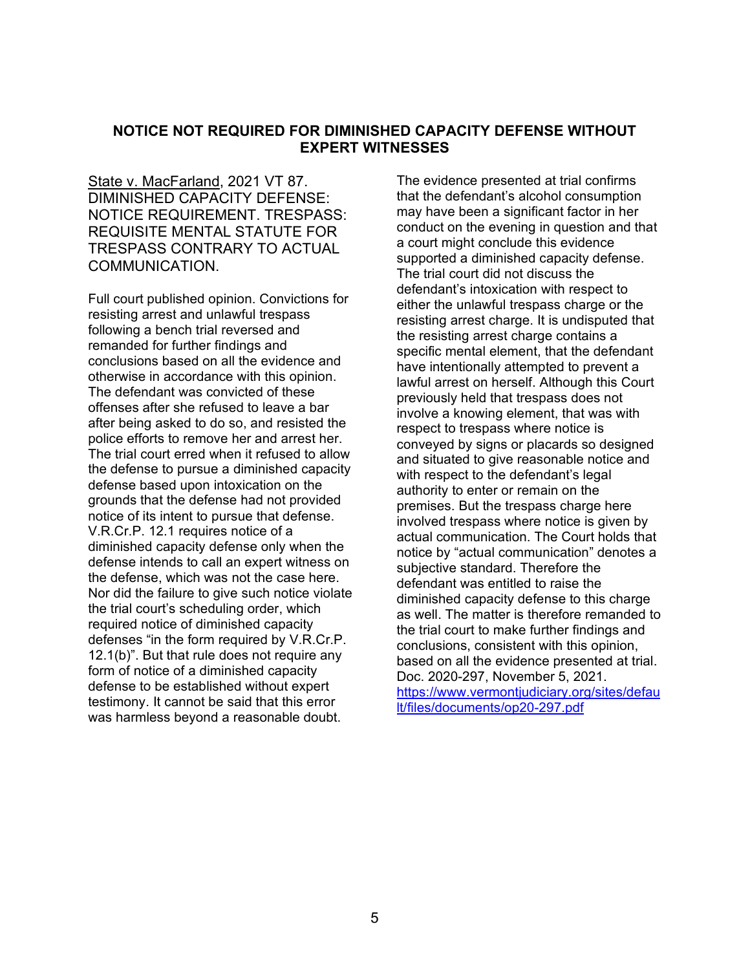#### **NOTICE NOT REQUIRED FOR DIMINISHED CAPACITY DEFENSE WITHOUT EXPERT WITNESSES**

State v. MacFarland, 2021 VT 87. DIMINISHED CAPACITY DEFENSE: NOTICE REQUIREMENT. TRESPASS: REQUISITE MENTAL STATUTE FOR TRESPASS CONTRARY TO ACTUAL COMMUNICATION.

Full court published opinion. Convictions for resisting arrest and unlawful trespass following a bench trial reversed and remanded for further findings and conclusions based on all the evidence and otherwise in accordance with this opinion. The defendant was convicted of these offenses after she refused to leave a bar after being asked to do so, and resisted the police efforts to remove her and arrest her. The trial court erred when it refused to allow the defense to pursue a diminished capacity defense based upon intoxication on the grounds that the defense had not provided notice of its intent to pursue that defense. V.R.Cr.P. 12.1 requires notice of a diminished capacity defense only when the defense intends to call an expert witness on the defense, which was not the case here. Nor did the failure to give such notice violate the trial court's scheduling order, which required notice of diminished capacity defenses "in the form required by V.R.Cr.P. 12.1(b)". But that rule does not require any form of notice of a diminished capacity defense to be established without expert testimony. It cannot be said that this error was harmless beyond a reasonable doubt.

The evidence presented at trial confirms that the defendant's alcohol consumption may have been a significant factor in her conduct on the evening in question and that a court might conclude this evidence supported a diminished capacity defense. The trial court did not discuss the defendant's intoxication with respect to either the unlawful trespass charge or the resisting arrest charge. It is undisputed that the resisting arrest charge contains a specific mental element, that the defendant have intentionally attempted to prevent a lawful arrest on herself. Although this Court previously held that trespass does not involve a knowing element, that was with respect to trespass where notice is conveyed by signs or placards so designed and situated to give reasonable notice and with respect to the defendant's legal authority to enter or remain on the premises. But the trespass charge here involved trespass where notice is given by actual communication. The Court holds that notice by "actual communication" denotes a subjective standard. Therefore the defendant was entitled to raise the diminished capacity defense to this charge as well. The matter is therefore remanded to the trial court to make further findings and conclusions, consistent with this opinion, based on all the evidence presented at trial. Doc. 2020-297, November 5, 2021. [https://www.vermontjudiciary.org/sites/defau](https://www.vermontjudiciary.org/sites/default/files/documents/op20-297.pdf) [lt/files/documents/op20-297.pdf](https://www.vermontjudiciary.org/sites/default/files/documents/op20-297.pdf)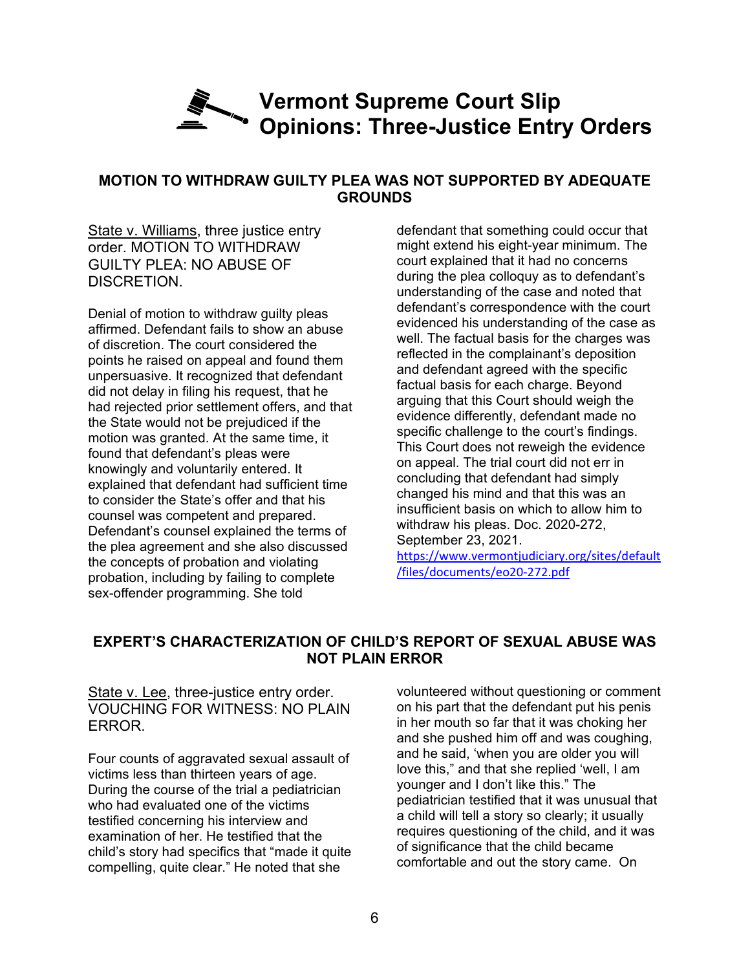### **Vermont Supreme Court Slip Opinions: Three-Justice Entry Orders**

### **MOTION TO WITHDRAW GUILTY PLEA WAS NOT SUPPORTED BY ADEQUATE GROUNDS**

State v. Williams, three justice entry order. MOTION TO WITHDRAW GUILTY PLEA: NO ABUSE OF DISCRETION.

Denial of motion to withdraw guilty pleas affirmed. Defendant fails to show an abuse of discretion. The court considered the points he raised on appeal and found them unpersuasive. It recognized that defendant did not delay in filing his request, that he had rejected prior settlement offers, and that the State would not be prejudiced if the motion was granted. At the same time, it found that defendant's pleas were knowingly and voluntarily entered. It explained that defendant had sufficient time to consider the State's offer and that his counsel was competent and prepared. Defendant's counsel explained the terms of the plea agreement and she also discussed the concepts of probation and violating probation, including by failing to complete sex-offender programming. She told

defendant that something could occur that might extend his eight-year minimum. The court explained that it had no concerns during the plea colloquy as to defendant's understanding of the case and noted that defendant's correspondence with the court evidenced his understanding of the case as well. The factual basis for the charges was reflected in the complainant's deposition and defendant agreed with the specific factual basis for each charge. Beyond arguing that this Court should weigh the evidence differently, defendant made no specific challenge to the court's findings. This Court does not reweigh the evidence on appeal. The trial court did not err in concluding that defendant had simply changed his mind and that this was an insufficient basis on which to allow him to withdraw his pleas. Doc. 2020-272, September 23, 2021.

[https://www.vermontjudiciary.org/sites/default](https://www.vermontjudiciary.org/sites/default/files/documents/eo20-272.pdf) [/files/documents/eo20-272.pdf](https://www.vermontjudiciary.org/sites/default/files/documents/eo20-272.pdf)

### **EXPERT'S CHARACTERIZATION OF CHILD'S REPORT OF SEXUAL ABUSE WAS NOT PLAIN ERROR**

State v. Lee, three-justice entry order. VOUCHING FOR WITNESS: NO PLAIN ERROR.

Four counts of aggravated sexual assault of victims less than thirteen years of age. During the course of the trial a pediatrician who had evaluated one of the victims testified concerning his interview and examination of her. He testified that the child's story had specifics that "made it quite compelling, quite clear." He noted that she

volunteered without questioning or comment on his part that the defendant put his penis in her mouth so far that it was choking her and she pushed him off and was coughing, and he said, 'when you are older you will love this," and that she replied 'well, I am younger and I don't like this." The pediatrician testified that it was unusual that a child will tell a story so clearly; it usually requires questioning of the child, and it was of significance that the child became comfortable and out the story came. On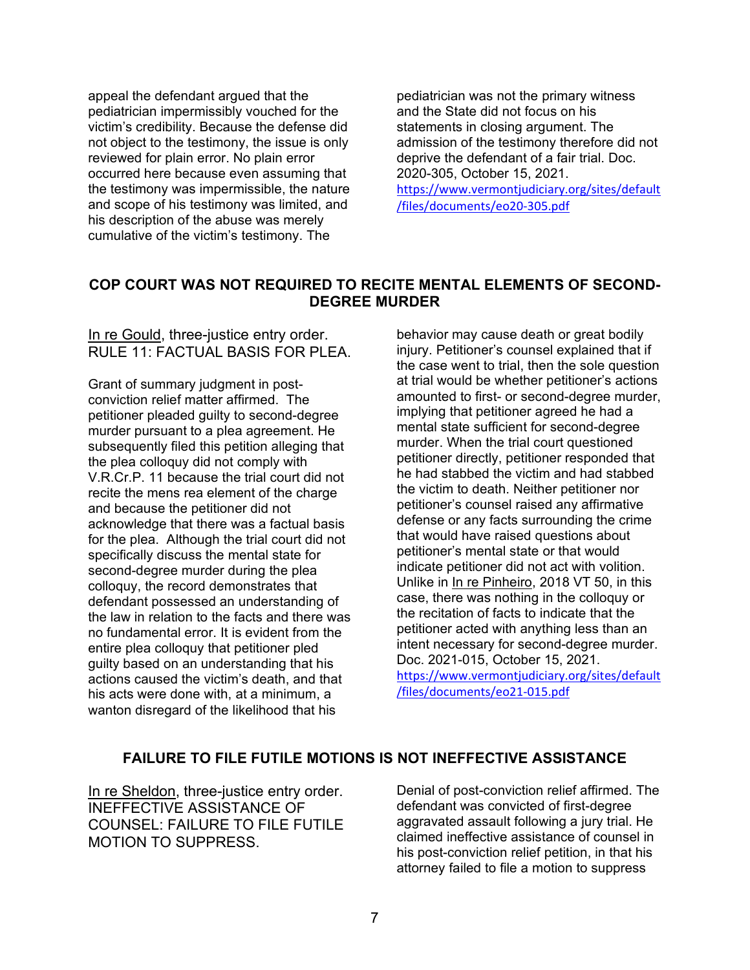appeal the defendant argued that the pediatrician impermissibly vouched for the victim's credibility. Because the defense did not object to the testimony, the issue is only reviewed for plain error. No plain error occurred here because even assuming that the testimony was impermissible, the nature and scope of his testimony was limited, and his description of the abuse was merely cumulative of the victim's testimony. The

pediatrician was not the primary witness and the State did not focus on his statements in closing argument. The admission of the testimony therefore did not deprive the defendant of a fair trial. Doc. 2020-305, October 15, 2021. [https://www.vermontjudiciary.org/sites/default](https://www.vermontjudiciary.org/sites/default/files/documents/eo20-305.pdf)

[/files/documents/eo20-305.pdf](https://www.vermontjudiciary.org/sites/default/files/documents/eo20-305.pdf)

### **COP COURT WAS NOT REQUIRED TO RECITE MENTAL ELEMENTS OF SECOND-DEGREE MURDER**

### In re Gould, three-justice entry order. RULE 11: FACTUAL BASIS FOR PLEA.

Grant of summary judgment in postconviction relief matter affirmed. The petitioner pleaded guilty to second-degree murder pursuant to a plea agreement. He subsequently filed this petition alleging that the plea colloquy did not comply with V.R.Cr.P. 11 because the trial court did not recite the mens rea element of the charge and because the petitioner did not acknowledge that there was a factual basis for the plea. Although the trial court did not specifically discuss the mental state for second-degree murder during the plea colloquy, the record demonstrates that defendant possessed an understanding of the law in relation to the facts and there was no fundamental error. It is evident from the entire plea colloquy that petitioner pled guilty based on an understanding that his actions caused the victim's death, and that his acts were done with, at a minimum, a wanton disregard of the likelihood that his

behavior may cause death or great bodily injury. Petitioner's counsel explained that if the case went to trial, then the sole question at trial would be whether petitioner's actions amounted to first- or second-degree murder, implying that petitioner agreed he had a mental state sufficient for second-degree murder. When the trial court questioned petitioner directly, petitioner responded that he had stabbed the victim and had stabbed the victim to death. Neither petitioner nor petitioner's counsel raised any affirmative defense or any facts surrounding the crime that would have raised questions about petitioner's mental state or that would indicate petitioner did not act with volition. Unlike in In re Pinheiro, 2018 VT 50, in this case, there was nothing in the colloquy or the recitation of facts to indicate that the petitioner acted with anything less than an intent necessary for second-degree murder. Doc. 2021-015, October 15, 2021. [https://www.vermontjudiciary.org/sites/default](https://www.vermontjudiciary.org/sites/default/files/documents/eo21-015.pdf) [/files/documents/eo21-015.pdf](https://www.vermontjudiciary.org/sites/default/files/documents/eo21-015.pdf)

### **FAILURE TO FILE FUTILE MOTIONS IS NOT INEFFECTIVE ASSISTANCE**

In re Sheldon, three-justice entry order. INEFFECTIVE ASSISTANCE OF COUNSEL: FAILURE TO FILE FUTILE MOTION TO SUPPRESS.

Denial of post-conviction relief affirmed. The defendant was convicted of first-degree aggravated assault following a jury trial. He claimed ineffective assistance of counsel in his post-conviction relief petition, in that his attorney failed to file a motion to suppress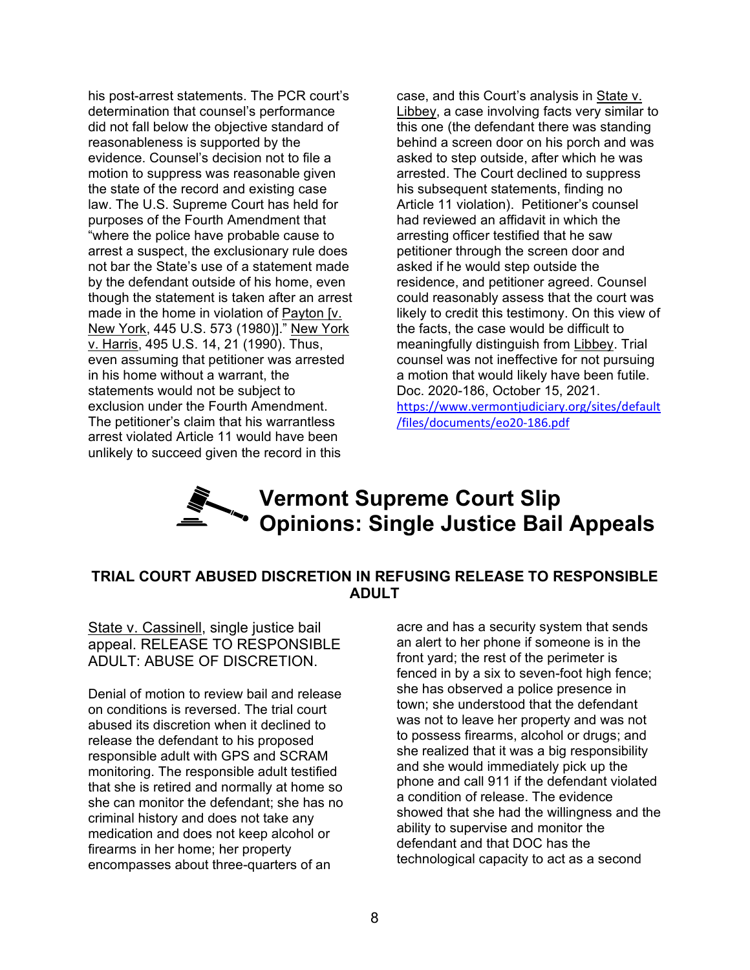his post-arrest statements. The PCR court's determination that counsel's performance did not fall below the objective standard of reasonableness is supported by the evidence. Counsel's decision not to file a motion to suppress was reasonable given the state of the record and existing case law. The U.S. Supreme Court has held for purposes of the Fourth Amendment that "where the police have probable cause to arrest a suspect, the exclusionary rule does not bar the State's use of a statement made by the defendant outside of his home, even though the statement is taken after an arrest made in the home in violation of Payton [v. New York, 445 U.S. 573 (1980)]." New York v. Harris, 495 U.S. 14, 21 (1990). Thus, even assuming that petitioner was arrested in his home without a warrant, the statements would not be subject to exclusion under the Fourth Amendment. The petitioner's claim that his warrantless arrest violated Article 11 would have been unlikely to succeed given the record in this

case, and this Court's analysis in State v. Libbey, a case involving facts very similar to this one (the defendant there was standing behind a screen door on his porch and was asked to step outside, after which he was arrested. The Court declined to suppress his subsequent statements, finding no Article 11 violation). Petitioner's counsel had reviewed an affidavit in which the arresting officer testified that he saw petitioner through the screen door and asked if he would step outside the residence, and petitioner agreed. Counsel could reasonably assess that the court was likely to credit this testimony. On this view of the facts, the case would be difficult to meaningfully distinguish from Libbey. Trial counsel was not ineffective for not pursuing a motion that would likely have been futile. Doc. 2020-186, October 15, 2021. [https://www.vermontjudiciary.org/sites/default](https://www.vermontjudiciary.org/sites/default/files/documents/eo20-186.pdf) [/files/documents/eo20-186.pdf](https://www.vermontjudiciary.org/sites/default/files/documents/eo20-186.pdf)

### **Vermont Supreme Court Slip Opinions: Single Justice Bail Appeals**

### **TRIAL COURT ABUSED DISCRETION IN REFUSING RELEASE TO RESPONSIBLE ADULT**

State v. Cassinell, single justice bail appeal. RELEASE TO RESPONSIBLE ADULT: ABUSE OF DISCRETION.

Denial of motion to review bail and release on conditions is reversed. The trial court abused its discretion when it declined to release the defendant to his proposed responsible adult with GPS and SCRAM monitoring. The responsible adult testified that she is retired and normally at home so she can monitor the defendant; she has no criminal history and does not take any medication and does not keep alcohol or firearms in her home; her property encompasses about three-quarters of an

acre and has a security system that sends an alert to her phone if someone is in the front yard; the rest of the perimeter is fenced in by a six to seven-foot high fence; she has observed a police presence in town; she understood that the defendant was not to leave her property and was not to possess firearms, alcohol or drugs; and she realized that it was a big responsibility and she would immediately pick up the phone and call 911 if the defendant violated a condition of release. The evidence showed that she had the willingness and the ability to supervise and monitor the defendant and that DOC has the technological capacity to act as a second